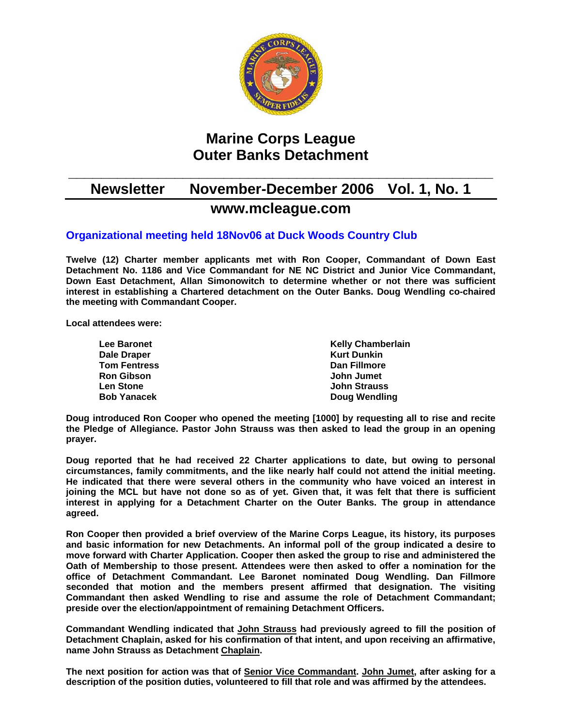

# **Marine Corps League Outer Banks Detachment**

## **\_\_\_\_\_\_\_\_\_\_\_\_\_\_\_\_\_\_\_\_\_\_\_\_\_\_\_\_\_\_\_\_\_\_\_\_\_\_\_\_\_\_\_\_\_\_\_\_\_\_\_\_ Newsletter November-December 2006 Vol. 1, No. 1 www.mcleague.com**

### **Organizational meeting held 18Nov06 at Duck Woods Country Club**

**Twelve (12) Charter member applicants met with Ron Cooper, Commandant of Down East Detachment No. 1186 and Vice Commandant for NE NC District and Junior Vice Commandant, Down East Detachment, Allan Simonowitch to determine whether or not there was sufficient interest in establishing a Chartered detachment on the Outer Banks. Doug Wendling co-chaired the meeting with Commandant Cooper.** 

**Local attendees were:** 

| <b>Lee Baronet</b>  | <b>Kelly Chamberlain</b> |
|---------------------|--------------------------|
| Dale Draper         | <b>Kurt Dunkin</b>       |
| <b>Tom Fentress</b> | Dan Fillmore             |
| <b>Ron Gibson</b>   | John Jumet               |
| <b>Len Stone</b>    | <b>John Strauss</b>      |
| <b>Bob Yanacek</b>  | Doug Wendling            |

**Doug introduced Ron Cooper who opened the meeting [1000] by requesting all to rise and recite the Pledge of Allegiance. Pastor John Strauss was then asked to lead the group in an opening prayer.** 

**Doug reported that he had received 22 Charter applications to date, but owing to personal circumstances, family commitments, and the like nearly half could not attend the initial meeting. He indicated that there were several others in the community who have voiced an interest in joining the MCL but have not done so as of yet. Given that, it was felt that there is sufficient interest in applying for a Detachment Charter on the Outer Banks. The group in attendance agreed.** 

**Ron Cooper then provided a brief overview of the Marine Corps League, its history, its purposes and basic information for new Detachments. An informal poll of the group indicated a desire to move forward with Charter Application. Cooper then asked the group to rise and administered the Oath of Membership to those present. Attendees were then asked to offer a nomination for the office of Detachment Commandant. Lee Baronet nominated Doug Wendling. Dan Fillmore seconded that motion and the members present affirmed that designation. The visiting Commandant then asked Wendling to rise and assume the role of Detachment Commandant; preside over the election/appointment of remaining Detachment Officers.** 

**Commandant Wendling indicated that John Strauss had previously agreed to fill the position of Detachment Chaplain, asked for his confirmation of that intent, and upon receiving an affirmative, name John Strauss as Detachment Chaplain.** 

**The next position for action was that of Senior Vice Commandant. John Jumet, after asking for a description of the position duties, volunteered to fill that role and was affirmed by the attendees.**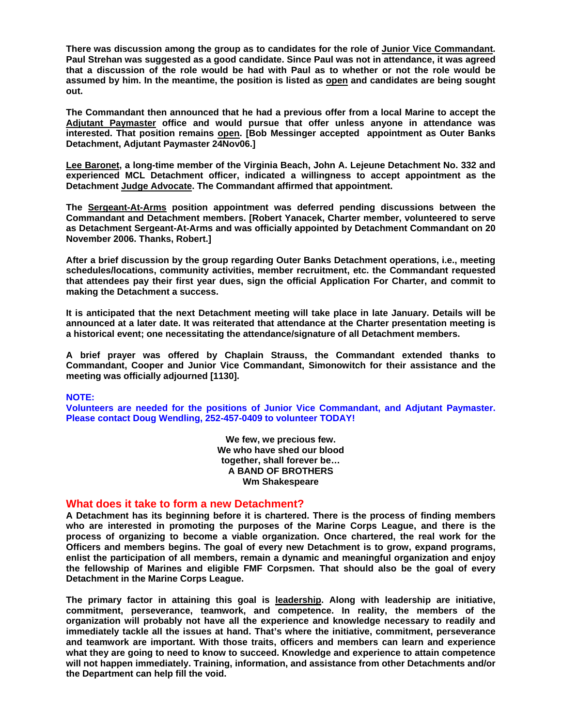**There was discussion among the group as to candidates for the role of Junior Vice Commandant. Paul Strehan was suggested as a good candidate. Since Paul was not in attendance, it was agreed that a discussion of the role would be had with Paul as to whether or not the role would be assumed by him. In the meantime, the position is listed as open and candidates are being sought out.** 

**The Commandant then announced that he had a previous offer from a local Marine to accept the Adjutant Paymaster office and would pursue that offer unless anyone in attendance was interested. That position remains open. [Bob Messinger accepted appointment as Outer Banks Detachment, Adjutant Paymaster 24Nov06.]** 

**Lee Baronet, a long-time member of the Virginia Beach, John A. Lejeune Detachment No. 332 and experienced MCL Detachment officer, indicated a willingness to accept appointment as the Detachment Judge Advocate. The Commandant affirmed that appointment.** 

**The Sergeant-At-Arms position appointment was deferred pending discussions between the Commandant and Detachment members. [Robert Yanacek, Charter member, volunteered to serve as Detachment Sergeant-At-Arms and was officially appointed by Detachment Commandant on 20 November 2006. Thanks, Robert.]** 

**After a brief discussion by the group regarding Outer Banks Detachment operations, i.e., meeting schedules/locations, community activities, member recruitment, etc. the Commandant requested that attendees pay their first year dues, sign the official Application For Charter, and commit to making the Detachment a success.** 

**It is anticipated that the next Detachment meeting will take place in late January. Details will be announced at a later date. It was reiterated that attendance at the Charter presentation meeting is a historical event; one necessitating the attendance/signature of all Detachment members.** 

**A brief prayer was offered by Chaplain Strauss, the Commandant extended thanks to Commandant, Cooper and Junior Vice Commandant, Simonowitch for their assistance and the meeting was officially adjourned [1130].** 

#### **NOTE:**

**Volunteers are needed for the positions of Junior Vice Commandant, and Adjutant Paymaster. Please contact Doug Wendling, 252-457-0409 to volunteer TODAY!**

> **We few, we precious few. We who have shed our blood together, shall forever be… A BAND OF BROTHERS Wm Shakespeare**

#### **What does it take to form a new Detachment?**

**A Detachment has its beginning before it is chartered. There is the process of finding members who are interested in promoting the purposes of the Marine Corps League, and there is the process of organizing to become a viable organization. Once chartered, the real work for the Officers and members begins. The goal of every new Detachment is to grow, expand programs, enlist the participation of all members, remain a dynamic and meaningful organization and enjoy the fellowship of Marines and eligible FMF Corpsmen. That should also be the goal of every Detachment in the Marine Corps League.** 

**The primary factor in attaining this goal is leadership. Along with leadership are initiative, commitment, perseverance, teamwork, and competence. In reality, the members of the organization will probably not have all the experience and knowledge necessary to readily and immediately tackle all the issues at hand. That's where the initiative, commitment, perseverance and teamwork are important. With those traits, officers and members can learn and experience what they are going to need to know to succeed. Knowledge and experience to attain competence will not happen immediately. Training, information, and assistance from other Detachments and/or the Department can help fill the void.**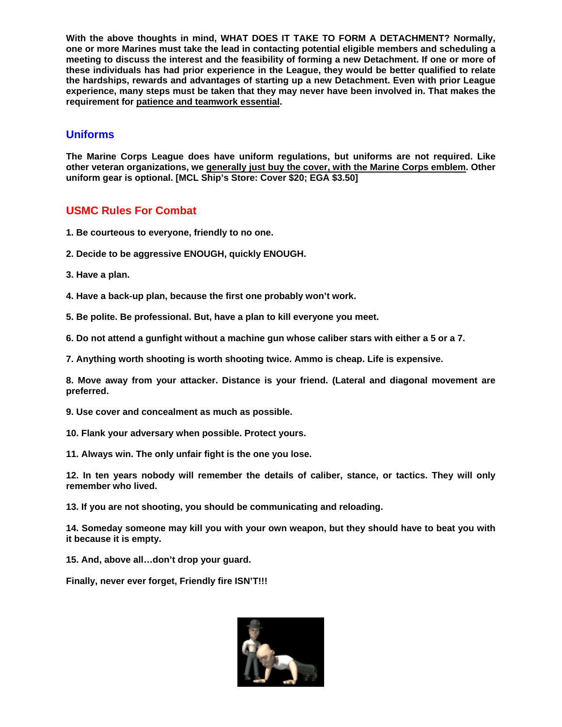**With the above thoughts in mind, WHAT DOES IT TAKE TO FORM A DETACHMENT? Normally, one or more Marines must take the lead in contacting potential eligible members and scheduling a meeting to discuss the interest and the feasibility of forming a new Detachment. If one or more of these individuals has had prior experience in the League, they would be better qualified to relate the hardships, rewards and advantages of starting up a new Detachment. Even with prior League experience, many steps must be taken that they may never have been involved in. That makes the requirement for patience and teamwork essential.** 

#### **Uniforms**

**The Marine Corps League does have uniform regulations, but uniforms are not required. Like other veteran organizations, we generally just buy the cover, with the Marine Corps emblem. Other uniform gear is optional. [MCL Ship's Store: Cover \$20; EGA \$3.50]** 

#### **USMC Rules For Combat**

- **1. Be courteous to everyone, friendly to no one.**
- **2. Decide to be aggressive ENOUGH, quickly ENOUGH.**
- **3. Have a plan.**
- **4. Have a back-up plan, because the first one probably won't work.**
- **5. Be polite. Be professional. But, have a plan to kill everyone you meet.**
- **6. Do not attend a gunfight without a machine gun whose caliber stars with either a 5 or a 7.**
- **7. Anything worth shooting is worth shooting twice. Ammo is cheap. Life is expensive.**

**8. Move away from your attacker. Distance is your friend. (Lateral and diagonal movement are preferred.** 

- **9. Use cover and concealment as much as possible.**
- **10. Flank your adversary when possible. Protect yours.**
- **11. Always win. The only unfair fight is the one you lose.**

**12. In ten years nobody will remember the details of caliber, stance, or tactics. They will only remember who lived.** 

**13. If you are not shooting, you should be communicating and reloading.** 

**14. Someday someone may kill you with your own weapon, but they should have to beat you with it because it is empty.**

**15. And, above all…don't drop your guard.** 

**Finally, never ever forget, Friendly fire ISN'T!!!** 

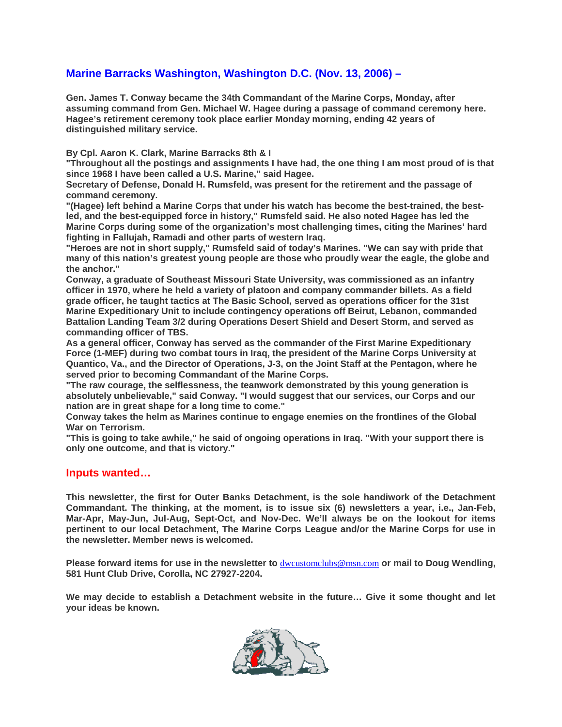### **Marine Barracks Washington, Washington D.C. (Nov. 13, 2006) –**

**Gen. James T. Conway became the 34th Commandant of the Marine Corps, Monday, after assuming command from Gen. Michael W. Hagee during a passage of command ceremony here. Hagee's retirement ceremony took place earlier Monday morning, ending 42 years of distinguished military service.** 

**By Cpl. Aaron K. Clark, Marine Barracks 8th & I** 

**"Throughout all the postings and assignments I have had, the one thing I am most proud of is that since 1968 I have been called a U.S. Marine," said Hagee.** 

**Secretary of Defense, Donald H. Rumsfeld, was present for the retirement and the passage of command ceremony.** 

**"(Hagee) left behind a Marine Corps that under his watch has become the best-trained, the bestled, and the best-equipped force in history," Rumsfeld said. He also noted Hagee has led the Marine Corps during some of the organization's most challenging times, citing the Marines' hard fighting in Fallujah, Ramadi and other parts of western Iraq.** 

**"Heroes are not in short supply," Rumsfeld said of today's Marines. "We can say with pride that many of this nation's greatest young people are those who proudly wear the eagle, the globe and the anchor."** 

**Conway, a graduate of Southeast Missouri State University, was commissioned as an infantry officer in 1970, where he held a variety of platoon and company commander billets. As a field grade officer, he taught tactics at The Basic School, served as operations officer for the 31st Marine Expeditionary Unit to include contingency operations off Beirut, Lebanon, commanded Battalion Landing Team 3/2 during Operations Desert Shield and Desert Storm, and served as commanding officer of TBS.** 

**As a general officer, Conway has served as the commander of the First Marine Expeditionary Force (1-MEF) during two combat tours in Iraq, the president of the Marine Corps University at Quantico, Va., and the Director of Operations, J-3, on the Joint Staff at the Pentagon, where he served prior to becoming Commandant of the Marine Corps.** 

**"The raw courage, the selflessness, the teamwork demonstrated by this young generation is absolutely unbelievable," said Conway. "I would suggest that our services, our Corps and our nation are in great shape for a long time to come."** 

**Conway takes the helm as Marines continue to engage enemies on the frontlines of the Global War on Terrorism.** 

**"This is going to take awhile," he said of ongoing operations in Iraq. "With your support there is only one outcome, and that is victory."**

#### **Inputs wanted…**

**This newsletter, the first for Outer Banks Detachment, is the sole handiwork of the Detachment Commandant. The thinking, at the moment, is to issue six (6) newsletters a year, i.e., Jan-Feb, Mar-Apr, May-Jun, Jul-Aug, Sept-Oct, and Nov-Dec. We'll always be on the lookout for items pertinent to our local Detachment, The Marine Corps League and/or the Marine Corps for use in the newsletter. Member news is welcomed.** 

**Please forward items for use in the newsletter to** [dwcustomclubs@msn.com](mailto:dwcustomclubs@msn.com) **or mail to Doug Wendling, 581 Hunt Club Drive, Corolla, NC 27927-2204.** 

**We may decide to establish a Detachment website in the future… Give it some thought and let your ideas be known.**